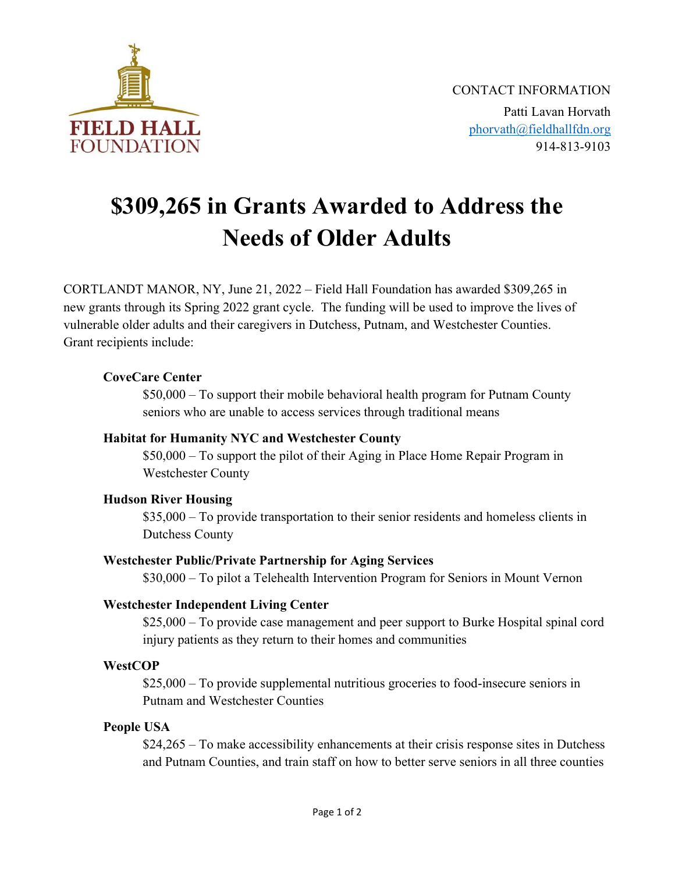

# \$309,265 in Grants Awarded to Address the Needs of Older Adults

CORTLANDT MANOR, NY, June 21, 2022 – Field Hall Foundation has awarded \$309,265 in new grants through its Spring 2022 grant cycle. The funding will be used to improve the lives of vulnerable older adults and their caregivers in Dutchess, Putnam, and Westchester Counties. Grant recipients include:

## CoveCare Center

\$50,000 – To support their mobile behavioral health program for Putnam County seniors who are unable to access services through traditional means

#### Habitat for Humanity NYC and Westchester County

\$50,000 – To support the pilot of their Aging in Place Home Repair Program in Westchester County

#### Hudson River Housing

\$35,000 – To provide transportation to their senior residents and homeless clients in Dutchess County

#### Westchester Public/Private Partnership for Aging Services

\$30,000 – To pilot a Telehealth Intervention Program for Seniors in Mount Vernon

# Westchester Independent Living Center

\$25,000 – To provide case management and peer support to Burke Hospital spinal cord injury patients as they return to their homes and communities

#### **WestCOP**

\$25,000 – To provide supplemental nutritious groceries to food-insecure seniors in Putnam and Westchester Counties

#### People USA

\$24,265 – To make accessibility enhancements at their crisis response sites in Dutchess and Putnam Counties, and train staff on how to better serve seniors in all three counties